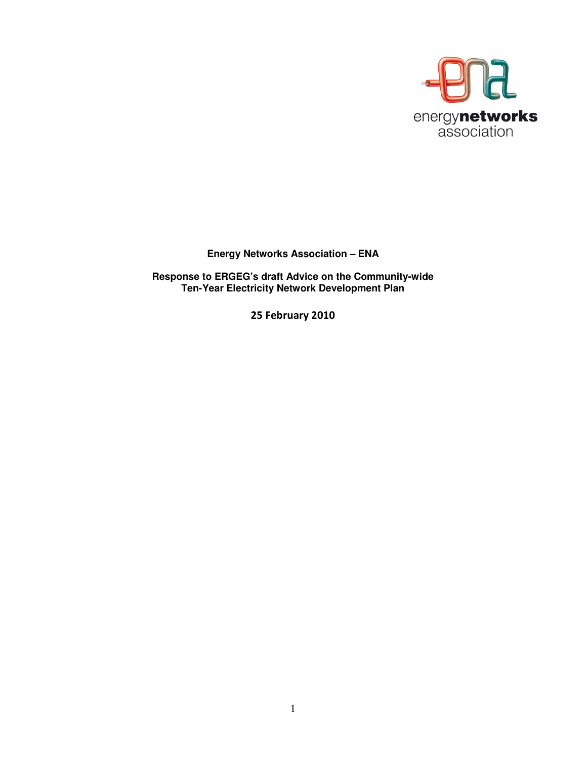

## **Energy Networks Association – ENA**

**Response to ERGEG's draft Advice on the Community-wide Ten-Year Electricity Network Development Plan** 

25 February 2010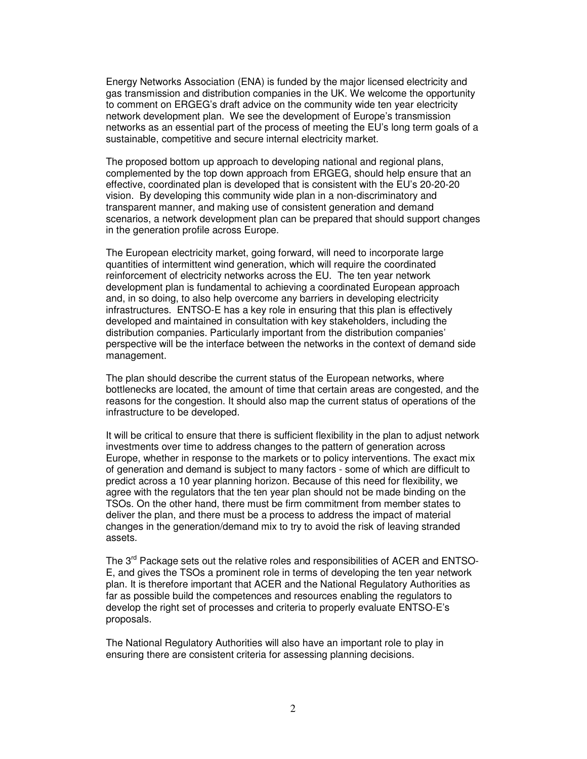Energy Networks Association (ENA) is funded by the major licensed electricity and gas transmission and distribution companies in the UK. We welcome the opportunity to comment on ERGEG's draft advice on the community wide ten year electricity network development plan. We see the development of Europe's transmission networks as an essential part of the process of meeting the EU's long term goals of a sustainable, competitive and secure internal electricity market.

The proposed bottom up approach to developing national and regional plans, complemented by the top down approach from ERGEG, should help ensure that an effective, coordinated plan is developed that is consistent with the EU's 20-20-20 vision. By developing this community wide plan in a non-discriminatory and transparent manner, and making use of consistent generation and demand scenarios, a network development plan can be prepared that should support changes in the generation profile across Europe.

The European electricity market, going forward, will need to incorporate large quantities of intermittent wind generation, which will require the coordinated reinforcement of electricity networks across the EU. The ten year network development plan is fundamental to achieving a coordinated European approach and, in so doing, to also help overcome any barriers in developing electricity infrastructures. ENTSO-E has a key role in ensuring that this plan is effectively developed and maintained in consultation with key stakeholders, including the distribution companies. Particularly important from the distribution companies' perspective will be the interface between the networks in the context of demand side management.

The plan should describe the current status of the European networks, where bottlenecks are located, the amount of time that certain areas are congested, and the reasons for the congestion. It should also map the current status of operations of the infrastructure to be developed.

It will be critical to ensure that there is sufficient flexibility in the plan to adjust network investments over time to address changes to the pattern of generation across Europe, whether in response to the markets or to policy interventions. The exact mix of generation and demand is subject to many factors - some of which are difficult to predict across a 10 year planning horizon. Because of this need for flexibility, we agree with the regulators that the ten year plan should not be made binding on the TSOs. On the other hand, there must be firm commitment from member states to deliver the plan, and there must be a process to address the impact of material changes in the generation/demand mix to try to avoid the risk of leaving stranded assets.

The  $3<sup>rd</sup>$  Package sets out the relative roles and responsibilities of ACER and ENTSO-E, and gives the TSOs a prominent role in terms of developing the ten year network plan. It is therefore important that ACER and the National Regulatory Authorities as far as possible build the competences and resources enabling the regulators to develop the right set of processes and criteria to properly evaluate ENTSO-E's proposals.

The National Regulatory Authorities will also have an important role to play in ensuring there are consistent criteria for assessing planning decisions.